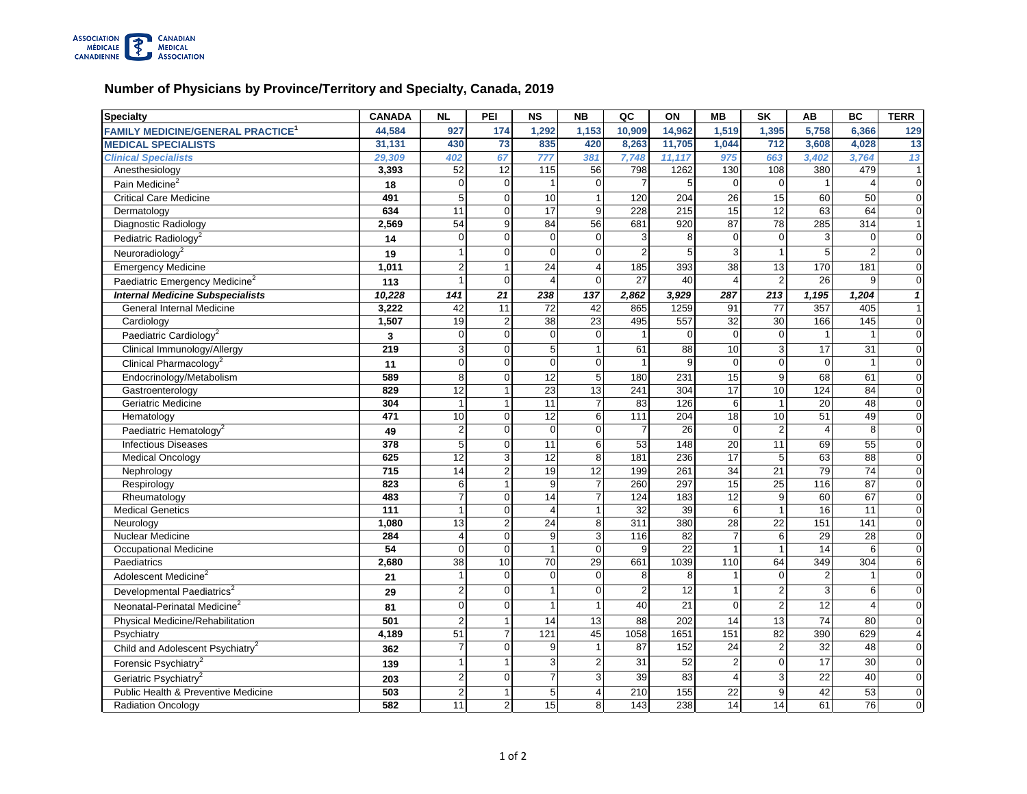

## **Number of Physicians by Province/Territory and Specialty, Canada, 2019**

| <b>Specialty</b>                                    | <b>CANADA</b> | $\overline{\mathsf{NL}}$ | PEI             | $\overline{\text{NS}}$ | $\overline{AB}$ | $\overline{ac}$ | ON              | <b>MB</b>       | $\overline{\mathsf{SK}}$ | $\overline{AB}$ | <b>BC</b>       | <b>TERR</b>             |
|-----------------------------------------------------|---------------|--------------------------|-----------------|------------------------|-----------------|-----------------|-----------------|-----------------|--------------------------|-----------------|-----------------|-------------------------|
| <b>FAMILY MEDICINE/GENERAL PRACTICE<sup>1</sup></b> | 44,584        | 927                      | 174             | 1,292                  | 1,153           | 10,909          | 14,962          | 1,519           | 1,395                    | 5,758           | 6,366           | 129                     |
| <b>MEDICAL SPECIALISTS</b>                          | 31,131        | 430                      | 73              | 835                    | 420             | 8,263           | 11,705          | 1,044           | 712                      | 3,608           | 4,028           | 13                      |
| <b>Clinical Specialists</b>                         | 29,309        | 402                      | 67              | 777                    | 381             | 7,748           | 11,117          | 975             | 663                      | 3,402           | 3,764           | 13                      |
| Anesthesiology                                      | 3,393         | 52                       | 12              | 115                    | 56              | 798             | 1262            | 130             | 108                      | 380             | 479             | 1                       |
| Pain Medicine <sup>2</sup>                          | 18            | $\Omega$                 | $\Omega$        |                        | $\Omega$        |                 | 5               | $\mathbf 0$     | $\Omega$                 |                 |                 | $\overline{0}$          |
| <b>Critical Care Medicine</b>                       | 491           | 5                        | $\mathbf 0$     | 10                     | 1               | 120             | 204             | $\overline{26}$ | 15                       | 60              | 50              | $\overline{0}$          |
| Dermatology                                         | 634           | 11                       | $\Omega$        | 17                     | 9               | 228             | 215             | 15              | 12                       | 63              | 64              | $\overline{0}$          |
| Diagnostic Radiology                                | 2,569         | 54                       | 9               | 84                     | 56              | 681             | 920             | 87              | 78                       | 285             | 314             | $\mathbf{1}$            |
| Pediatric Radiology <sup>2</sup>                    | 14            | $\Omega$                 | $\Omega$        | $\overline{0}$         | 0               |                 | 8               | $\Omega$        | $\Omega$                 |                 | $\Omega$        | $\overline{0}$          |
| Neuroradiology <sup>2</sup>                         | 19            | 1                        | $\Omega$        | $\Omega$               | $\Omega$        | 2               | 5               | 3               |                          | 5               |                 | $\overline{0}$          |
| <b>Emergency Medicine</b>                           | 1,011         | $\overline{2}$           |                 | $\overline{24}$        | $\overline{A}$  | 185             | 393             | 38              | 13                       | 170             | 181             | $\overline{0}$          |
| Paediatric Emergency Medicine <sup>2</sup>          | 113           | $\overline{1}$           | $\Omega$        | 4                      | $\Omega$        | 27              | 40              | $\overline{4}$  | $\overline{2}$           | 26              | 9               | $\overline{0}$          |
| <b>Internal Medicine Subspecialists</b>             | 10,228        | $\overline{141}$         | $\overline{21}$ | 238                    | 137             | 2,862           | 3,929           | 287             | $\overline{213}$         | 1,195           | 1,204           | $\overline{\mathbf{1}}$ |
| <b>General Internal Medicine</b>                    | 3,222         | 42                       | 11              | 72                     | 42              | 865             | 1259            | 91              | 77                       | 357             | 405             | 1                       |
| Cardiology                                          | 1,507         | 19                       | $\overline{2}$  | 38                     | 23              | 495             | 557             | 32              | 30                       | 166             | 145             | $\overline{0}$          |
| Paediatric Cardiology <sup>2</sup>                  | 3             | $\mathbf 0$              | $\Omega$        | $\Omega$               | $\overline{0}$  |                 | $\mathbf 0$     | $\Omega$        | $\Omega$                 |                 |                 | $\overline{0}$          |
| Clinical Immunology/Allergy                         | 219           | 3                        | $\Omega$        | 5                      |                 | 61              | 88              | 10              | 3                        | 17              | 31              | $\overline{0}$          |
| Clinical Pharmacology <sup>2</sup>                  | 11            | $\Omega$                 | $\overline{0}$  | $\Omega$               | $\Omega$        |                 | 9               | $\Omega$        | $\Omega$                 | $\Omega$        |                 | $\overline{0}$          |
| Endocrinology/Metabolism                            | 589           | 8                        | $\Omega$        | 12                     | 5               | 180             | 231             | 15              | 9                        | 68              | 61              | $\overline{0}$          |
| Gastroenterology                                    | 829           | 12                       |                 | 23                     | 13              | 241             | 304             | $\overline{17}$ | 10                       | 124             | 84              | $\overline{0}$          |
| Geriatric Medicine                                  | 304           | $\overline{1}$           |                 | 11                     | $\overline{7}$  | 83              | 126             | 6               |                          | 20              | 48              | $\overline{0}$          |
| Hematology                                          | 471           | 10                       | $\Omega$        | 12                     | 6               | 111             | 204             | $\overline{18}$ | 10                       | 51              | 49              | $\overline{0}$          |
| Paediatric Hematology <sup>2</sup>                  | 49            | $\overline{2}$           | $\Omega$        | $\overline{0}$         | $\Omega$        | 7               | $\overline{26}$ | $\mathbf 0$     | $\overline{2}$           |                 | 8               | $\overline{0}$          |
| <b>Infectious Diseases</b>                          | 378           | 5                        | $\Omega$        | 11                     | 6               | 53              | 148             | $\overline{20}$ | 11                       | 69              | 55              | $\overline{0}$          |
| <b>Medical Oncology</b>                             | 625           | 12                       | 3               | 12                     | 8               | 181             | 236             | 17              | 5                        | 63              | 88              | $\overline{0}$          |
| Nephrology                                          | 715           | 14                       | $\mathcal{P}$   | 19                     | 12              | 199             | 261             | $\overline{34}$ | 21                       | 79              | $\overline{74}$ | $\overline{0}$          |
| Respirology                                         | 823           | 6                        |                 | 9                      | $\overline{7}$  | 260             | 297             | 15              | 25                       | 116             | 87              | $\overline{0}$          |
| Rheumatology                                        | 483           | $\overline{7}$           | $\Omega$        | 14                     | $\overline{7}$  | 124             | 183             | 12              | 9                        | 60              | 67              | $\overline{0}$          |
| <b>Medical Genetics</b>                             | 111           | -1                       | $\Omega$        | 4                      |                 | 32              | 39              | 6               |                          | 16              | 11              | $\overline{0}$          |
| Neurology                                           | 1,080         | 13                       | $\overline{2}$  | $\overline{24}$        | 8               | 311             | 380             | 28              | 22                       | 151             | 141             | $\overline{0}$          |
| Nuclear Medicine                                    | 284           | $\overline{4}$           | $\Omega$        | 9                      | 3               | 116             | $\overline{82}$ | 7               | 6                        | 29              | 28              | $\overline{0}$          |
| <b>Occupational Medicine</b>                        | 54            | $\Omega$                 | $\Omega$        | 1                      | $\Omega$        | 9               | 22              | 1               |                          | 14              | 6               | $\overline{0}$          |
| Paediatrics                                         | 2,680         | 38                       | 10              | 70                     | 29              | 661             | 1039            | 110             | 64                       | 349             | 304             | $\,6$                   |
| Adolescent Medicine <sup>2</sup>                    | 21            |                          | $\Omega$        | $\Omega$               | $\Omega$        | 8               | 8               |                 | $\Omega$                 |                 |                 | $\overline{0}$          |
| Developmental Paediatrics <sup>2</sup>              | 29            | $\overline{2}$           | $\Omega$        |                        | $\Omega$        | 2               | 12              |                 |                          | 3               | 6               | $\overline{0}$          |
| Neonatal-Perinatal Medicine <sup>2</sup>            | 81            | $\mathbf 0$              | $\Omega$        | 1                      |                 | 40              | 21              | $\mathbf 0$     | $\overline{2}$           | 12              | 4               | $\overline{0}$          |
| Physical Medicine/Rehabilitation                    | 501           |                          |                 | 14                     | 13              | 88              | 202             | $\overline{14}$ | 13                       | $\overline{74}$ | 80              | $\overline{0}$          |
| Psychiatry                                          | 4,189         | 51                       | $\overline{7}$  | 121                    | 45              | 1058            | 1651            | 151             | 82                       | 390             | 629             | $\overline{4}$          |
| Child and Adolescent Psychiatry <sup>2</sup>        | 362           | $\overline{7}$           | $\Omega$        | 9                      |                 | 87              | 152             | 24              | $\overline{2}$           | 32              | 48              | $\overline{0}$          |
| Forensic Psychiatry <sup>2</sup>                    | 139           | $\overline{1}$           |                 | 3                      | $\overline{2}$  | 31              | 52              | $\overline{2}$  | $\Omega$                 | 17              | 30              | $\overline{0}$          |
| Geriatric Psychiatry <sup>2</sup>                   | 203           | $\overline{2}$           | $\Omega$        | $\overline{7}$         | 3               | 39              | 83              | $\overline{4}$  | 3                        | 22              | 40              | $\overline{0}$          |
| Public Health & Preventive Medicine                 | 503           | $\overline{2}$           |                 | 5                      | 4               | 210             | 155             | 22              | 9                        | 42              | 53              | $\mathbf 0$             |
| <b>Radiation Oncology</b>                           | 582           | 11                       | $\overline{2}$  | 15                     | 8               | 143             | 238             | 14              | 14                       | 61              | 76              | $\overline{0}$          |